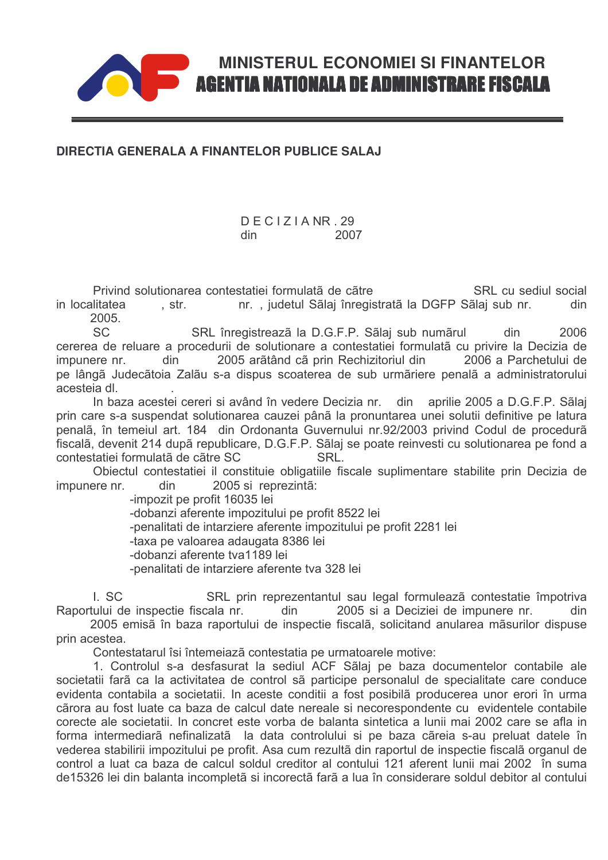## **AGENTIA NATIONALA DE ADMINISTRARE FISCALA**

**MINISTERUL ECONOMIEI SI FINANTELOR** 

## DIRECTIA GENERALA A FINANTELOR PUBLICE SALAJ

## $DFCIZIA NR$  29 din 2007

Privind solutionarea contestatiei formulatã de cãtre SRL cu sediul social in localitatea nr., judetul Sãlaj înregistrată la DGFP Sãlaj sub nr. . str. din 2005.

 $SC$ 2006 SRL înregistrează la D.G.F.P. Sãlaj sub numărul din cererea de reluare a procedurii de solutionare a contestatiei formulatã cu privire la Decizia de impunere nr. din 2005 arãtând cã prin Rechizitoriul din 2006 a Parchetului de pe lângã Judecãtoia Zalãu s-a dispus scoaterea de sub urmãriere penalã a administratorului acesteia dl

In baza acestei cereri și având în vedere Decizia nr. din aprilie 2005 a D.G.F.P. Sãlai prin care s-a suspendat solutionarea cauzei până la pronuntarea unei solutii definitive pe latura penalã, în temeiul art. 184 din Ordonanta Guvernului nr.92/2003 privind Codul de procedurã fiscalã, devenit 214 dupã republicare, D.G.F.P. Sãlaj se poate reinvesti cu solutionarea pe fond a contestatiei formulatã de cãtre SC **SRI** 

Obiectul contestatiei il constituie obligatiile fiscale suplimentare stabilite prin Decizia de impunere nr. din 2005 si reprezintã:

-impozit pe profit 16035 lei

-dobanzi aferente impozitului pe profit 8522 lei

-penalitati de intarziere aferente impozitului pe profit 2281 lei

-taxa pe valoarea adaugata 8386 lei

-dobanzi aferente tva1189 lei

-penalitati de intarziere aferente tva 328 lei

I. SC SRL prin reprezentantul sau legal formulează contestatie împotriva Raportului de inspectie fiscala nr. 2005 si a Deciziei de impunere nr. din 2005 emisă în baza raportului de inspectie fiscală, solicitand anularea măsurilor dispuse

prin acestea.

Contestatarul îsi întemeiază contestatia pe urmatoarele motive:

1. Controlul s-a desfasurat la sediul ACF Sãlaj pe baza documentelor contabile ale societatii farã ca la activitatea de control sã participe personalul de specialitate care conduce evidenta contabila a societatii. In aceste conditii a fost posibilã producerea unor erori în urma cãrora au fost luate ca baza de calcul date nereale si necorespondente cu evidentele contabile corecte ale societatii. In concret este vorba de balanta sintetica a lunii mai 2002 care se afla in forma intermediarã nefinalizatã la data controlului si pe baza cãreia s-au preluat datele în vederea stabilirii impozitului pe profit. Asa cum rezultã din raportul de inspectie fiscalã organul de control a luat ca baza de calcul soldul creditor al contului 121 aferent lunii mai 2002 în suma de15326 lei din balanta incompletã si incorectã farã a lua în considerare soldul debitor al contului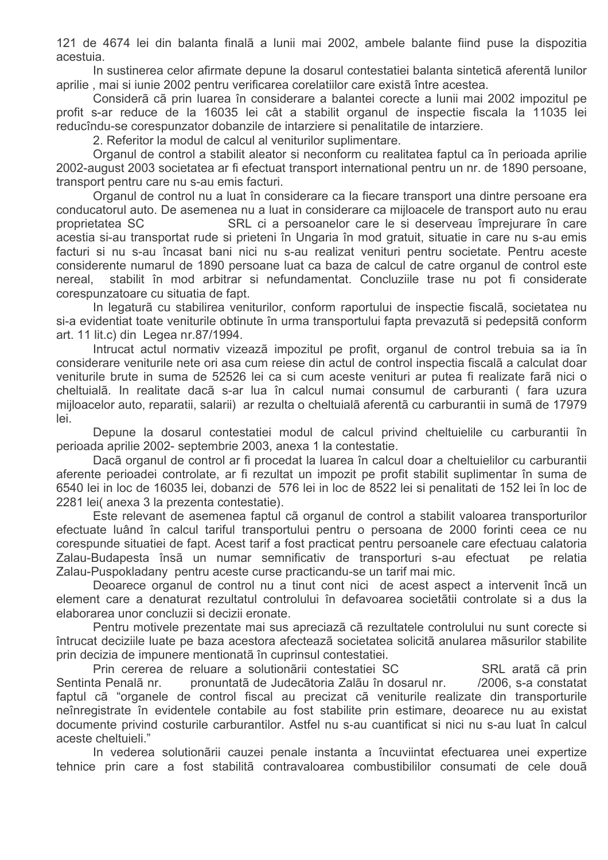121 de 4674 lei din balanta finalã a lunii mai 2002, ambele balante fiind puse la dispozitia acestuia.

In sustinerea celor afirmate depune la dosarul contestatiei balanta sinteticã aferentã lunilor aprilie, mai si iunie 2002 pentru verificarea corelatiilor care existã între acestea.

Considerã cã prin luarea în considerare a balantei corecte a lunii mai 2002 impozitul pe profit s-ar reduce de la 16035 lei cât a stabilit organul de inspectie fiscala la 11035 lei reducîndu-se corespunzator dobanzile de intarziere si penalitatile de intarziere.

2. Referitor la modul de calcul al veniturilor suplimentare.

Organul de control a stabilit aleator si neconform cu realitatea faptul ca în perioada aprilie 2002-august 2003 societatea ar fi efectuat transport international pentru un nr. de 1890 persoane, transport pentru care nu s-au emis facturi.

Organul de control nu a luat în considerare ca la fiecare transport una dintre persoane era conducatorul auto. De asemenea nu a luat in considerare ca mijloacele de transport auto nu erau proprietatea SC 32 . SRL ci a persoanelor care le si deserveau împrejurare în care acestia si-au transportat rude si prieteni în Ungaria în mod gratuit, situatie in care nu s-au emis facturi si nu s-au încasat bani nici nu s-au realizat venituri pentru societate. Pentru aceste considerente numarul de 1890 persoane luat ca baza de calcul de catre organul de control este nereal, stabilit în mod arbitrar si nefundamentat. Concluziile trase nu pot fi considerate corespunzatoare cu situatia de fapt.

In legatură cu stabilirea veniturilor, conform raportului de inspectie fiscală, societatea nu si-a evidentiat toate veniturile obtinute în urma transportului fapta prevazută și pedepsită conform art. 11 lit.c) din Legea nr.87/1994.

Intrucat actul normativ vizeazã impozitul pe profit, organul de control trebuja sa ja în considerare veniturile nete ori asa cum reiese din actul de control inspectia fiscalã a calculat doar veniturile brute in suma de 52526 lei ca si cum aceste venituri ar putea fi realizate farã nici o cheltuialã. In realitate dacã s-ar lua în calcul numai consumul de carburanti ( fara uzura mijloacelor auto, reparatii, salarii) ar rezulta o cheltuialã aferentã cu carburantii in sumã de 17979 lei.

Depune la dosarul contestatiei modul de calcul privind cheltuielile cu carburantii în perioada aprilie 2002- septembrie 2003, anexa 1 la contestatie.

Dacã organul de control ar fi procedat la luarea în calcul doar a cheltuielilor cu carburantii aferente perioadei controlate, ar fi rezultat un impozit pe profit stabilit suplimentar în suma de 6540 lei in loc de 16035 lei, dobanzi de 576 lei in loc de 8522 lei si penalitati de 152 lei în loc de 2281 lei(anexa 3 la prezenta contestatie).

Este relevant de asemenea faptul cã organul de control a stabilit valoarea transporturilor efectuate luând în calcul tariful transportului pentru o persoana de 2000 forinti ceea ce nu corespunde situatiei de fapt. Acest tarif a fost practicat pentru persoanele care efectuau calatoria Zalau-Budapesta însã un numar semnificativ de transporturi s-au efectuat pe relatia Zalau-Puspokladany pentru aceste curse practicandu-se un tarif mai mic.

Deoarece organul de control nu a tinut cont nici de acest aspect a intervenit încã un element care a denaturat rezultatul controlului în defavoarea societătii controlate și a dus la elaborarea unor concluzii si decizii eronate.

Pentru motivele prezentate mai sus apreciazã cã rezultatele controlului nu sunt corecte si întrucat deciziile luate pe baza acestora afectează societatea solicită anularea măsurilor stabilite prin decizia de impunere mentionatã în cuprinsul contestatiei.

Prin cererea de reluare a solutionãrii contestatiei SC SRL aratã cã prin Sentinta Penalã nr. pronuntatã de Judecãtoria Zalãu în dosarul nr.  $/2006$ , s-a constatat faptul cã "organele de control fiscal au precizat cã veniturile realizate din transporturile neînregistrate în evidentele contabile au fost stabilite prin estimare, deoarece nu au existat documente privind costurile carburantilor. Astfel nu s-au cuantificat si nici nu s-au luat în calcul aceste cheltuieli."

In vederea solutionării cauzei penale instanta a încuviintat efectuarea unei expertize tehnice prin care a fost stabilitã contravaloarea combustibililor consumati de cele douã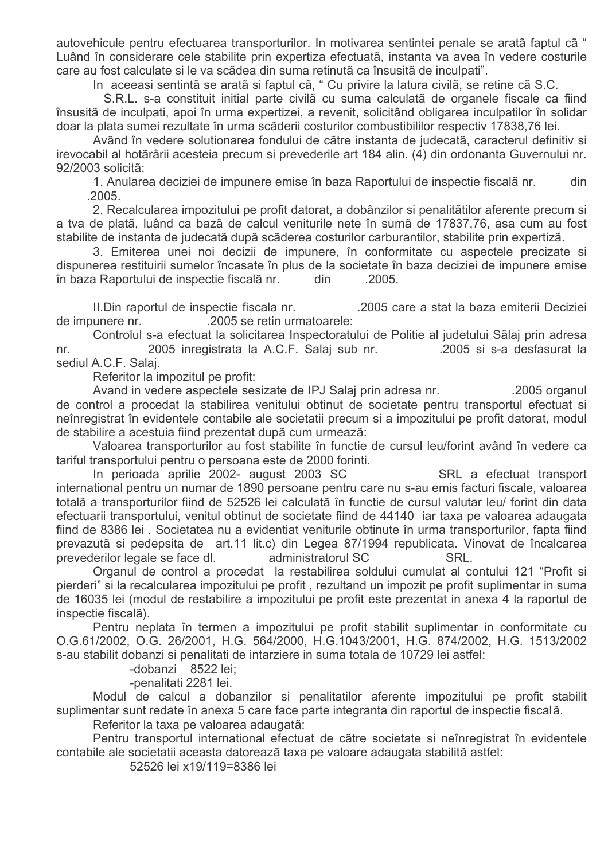autovehicule pentru efectuarea transporturilor. In motivarea sentintei penale se aratã faptul cã " Luând în considerare cele stabilite prin expertiza efectuatã, instanta va avea în vedere costurile care au fost calculate si le va scãdea din suma retinutã ca însusitã de inculpati".

In aceeasi sentintã se aratã si faptul cã, " Cu privire la latura civilã, se retine cã S.C.

S.R.L. s-a constituit initial parte civila cu suma calculata de organele fiscale ca fiind însusită de inculpati, apoi în urma expertizei, a revenit, solicitând obligarea inculpatilor în solidar doar la plata sumei rezultate în urma scăderii costurilor combustibililor respectiv 17838,76 lei.

Avãnd în vedere solutionarea fondului de către instanta de iudecată, caracterul definitiv și irevocabil al hotãrârii acesteia precum si prevederile art 184 alin. (4) din ordonanta Guvernului nr. 92/2003 solicitã:

1. Anularea deciziei de impunere emise în baza Raportului de inspectie fiscalã nr. din .2005.

2. Recalcularea impozitului pe profit datorat, a dobânzilor si penalitătilor aferente precum si a tva de platã, luând ca bazã de calcul veniturile nete în sumã de 17837,76, asa cum au fost stabilite de instanta de judecatã dupã scãderea costurilor carburantilor, stabilite prin expertizã.

3. Emiterea unei noi decizii de impunere, în conformitate cu aspectele precizate si dispunerea restituirii sumelor încasate în plus de la societate în baza deciziei de impunere emise în baza Raportului de inspectie fiscalã nr. din  $.2005.$ 

II. Din raportul de inspectie fiscala nr. .2005 care a stat la baza emiterii Deciziei .2005 se retin urmatoarele: de impunere nr.

Controlul s-a efectuat la solicitarea Inspectoratului de Politie al judetului Sãlaj prin adresa 2005 inregistrata la A.C.F. Salaj sub nr. .2005 si s-a desfasurat la nr. sediul A.C.F. Salaj.

Referitor la impozitul pe profit:

Avand in vedere aspectele sesizate de IPJ Salaj prin adresa nr. .2005 organul de control a procedat la stabilirea venitului obtinut de societate pentru transportul efectuat si neînregistrat în evidentele contabile ale societatii precum si a impozitului pe profit datorat, modul de stabilire a acestuia fiind prezentat dupã cum urmeazã:

Valoarea transporturilor au fost stabilite în functie de cursul leu/forint având în vedere ca tariful transportului pentru o persoana este de 2000 forinti.

In perioada aprilie 2002- august 2003 SC SRL a efectuat transport international pentru un numar de 1890 persoane pentru care nu s-au emis facturi fiscale, valoarea totală a transporturilor fiind de 52526 lei calculată în functie de cursul valutar leu/ forint din data efectuarii transportului, venitul obtinut de societate fiind de 44140 iar taxa pe valoarea adaugata fiind de 8386 lei, Societatea nu a evidentiat veniturile obtinute în urma transporturilor, fapta fiind prevazutã si pedepsita de art.11 lit.c) din Legea 87/1994 republicata. Vinovat de încalcarea prevederilor legale se face dl. administratorul SC SRL.

Organul de control a procedat la restabilirea soldului cumulat al contului 121 "Profit si pierderi" si la recalcularea impozitului pe profit, rezultand un impozit pe profit suplimentar in suma de 16035 lei (modul de restabilire a impozitului pe profit este prezentat in anexa 4 la raportul de inspectie fiscala).

Pentru neplata în termen a impozitului pe profit stabilit suplimentar in conformitate cu O.G.61/2002, O.G. 26/2001, H.G. 564/2000, H.G.1043/2001, H.G. 874/2002, H.G. 1513/2002 s-au stabilit dobanzi si penalitati de intarziere in suma totala de 10729 lei astfel:

-dobanzi 8522 lei;

-penalitati 2281 lei.

Modul de calcul a dobanzilor si penalitatilor aferente impozitului pe profit stabilit suplimentar sunt redate în anexa 5 care face parte integranta din raportul de inspectie fiscalã.

Referitor la taxa pe valoarea adaugatã:

Pentru transportul international efectuat de către societate si neînregistrat în evidentele contabile ale societatii aceasta datorează taxa pe valoare adaugata stabilită astfel:

52526 lei x19/119=8386 lei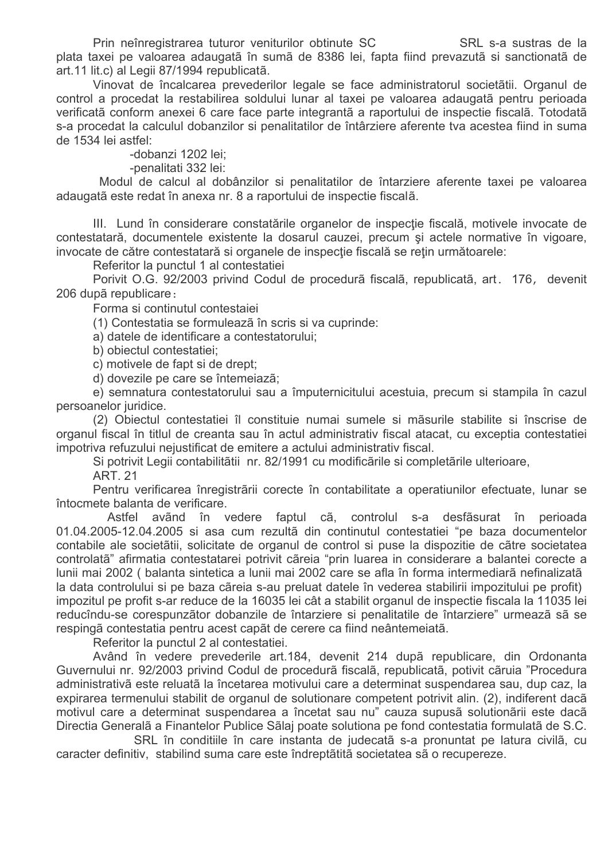Prin neînregistrarea tuturor veniturilor obtinute SC SRL S-a sustras de la plata taxei pe valoarea adaugatã în sumã de 8386 lei, fapta fiind prevazutã si sanctionatã de art.11 lit.c) al Legii 87/1994 republicatã.

Vinovat de încalcarea prevederilor legale se face administratorul societãtii. Organul de control a procedat la restabilirea soldului lunar al taxei pe valoarea adaugatã pentru perioada verificatã conform anexei 6 care face parte integrantã a raportului de inspectie fiscalã. Totodatã s-a procedat la calculul dobanzilor si penalitatilor de întârziere aferente tva acestea fiind in suma de 1534 lei astfel:

-dobanzi 1202 lei;

-penalitati 332 lei:

Modul de calcul al dobânzilor si penalitatilor de întarziere aferente taxei pe valoarea adaugatã este redat în anexa nr. 8 a raportului de inspectie fiscalã.

III. Lund în considerare constatările organelor de inspecție fiscală, motivele invocate de contestatară, documentele existente la dosarul cauzei, precum și actele normative în vigoare, invocate de către contestatară si organele de inspecție fiscală se rețin următoarele:

Referitor la punctul 1 al contestatiej

Porivit O.G. 92/2003 privind Codul de procedurã fiscalã, republicatã, art. 176, devenit 206 după republicare:

Forma si continutul contestajei

(1) Contestatia se formuleazã în scris si va cuprinde:

a) datele de identificare a contestatorului;

b) obiectul contestatiei;

c) motivele de fapt si de drept:

d) dovezile pe care se întemeiază;

e) semnatura contestatorului sau a împuternicitului acestuia, precum si stampila în cazul persoanelor juridice.

(2) Obiectul contestatiei îl constituie numai sumele si măsurile stabilite si înscrise de organul fiscal în titlul de creanta sau în actul administrativ fiscal atacat, cu exceptia contestatiei impotriva refuzului nejustificat de emitere a actului administrativ fiscal.

Si potrivit Legii contabilitătii nr. 82/1991 cu modificările si completările ulterioare,

ART. 21

Pentru verificarea înregistrării corecte în contabilitate a operatiunilor efectuate, lunar se întocmete balanta de verificare.

Astfel avãnd în vedere faptul cã, controlul s-a desfãsurat în perioada 01.04.2005-12.04.2005 si asa cum rezultã din continutul contestatiei "pe baza documentelor contabile ale societãtii, solicitate de organul de control si puse la dispozitie de cãtre societatea controlatã" afirmatia contestatarei potrivit cãreia "prin luarea in considerare a balantei corecte a lunii mai 2002 ( balanta sintetica a lunii mai 2002 care se afla în forma intermediarã nefinalizatã la data controlului si pe baza cãreia s-au preluat datele în vederea stabilirii impozitului pe profit) impozitul pe profit s-ar reduce de la 16035 lei cât a stabilit organul de inspectie fiscala la 11035 lei reducîndu-se corespunzãtor dobanzile de întarziere și penalitatile de întarziere" urmează să se respingã contestatia pentru acest capãt de cerere ca fiind neântemeiatã.

Referitor la punctul 2 al contestatiei.

Având în vedere prevederile art.184, devenit 214 dupã republicare, din Ordonanta Guvernului nr. 92/2003 privind Codul de procedurã fiscalã, republicatã, potivit cãruia "Procedura administrativã este reluatã la încetarea motivului care a determinat suspendarea sau, dup caz, la expirarea termenului stabilit de organul de solutionare competent potrivit alin. (2), indiferent dacã motivul care a determinat suspendarea a încetat sau nu" cauza supusã solutionãrii este daçã Directia Generalã a Finantelor Publice Sãlaj poate solutiona pe fond contestatia formulatã de S.C.

SRL în conditiile în care instanta de judecatã s-a pronuntat pe latura civilã, cu caracter definitiv, stabilind suma care este îndreptătită societatea să o recupereze.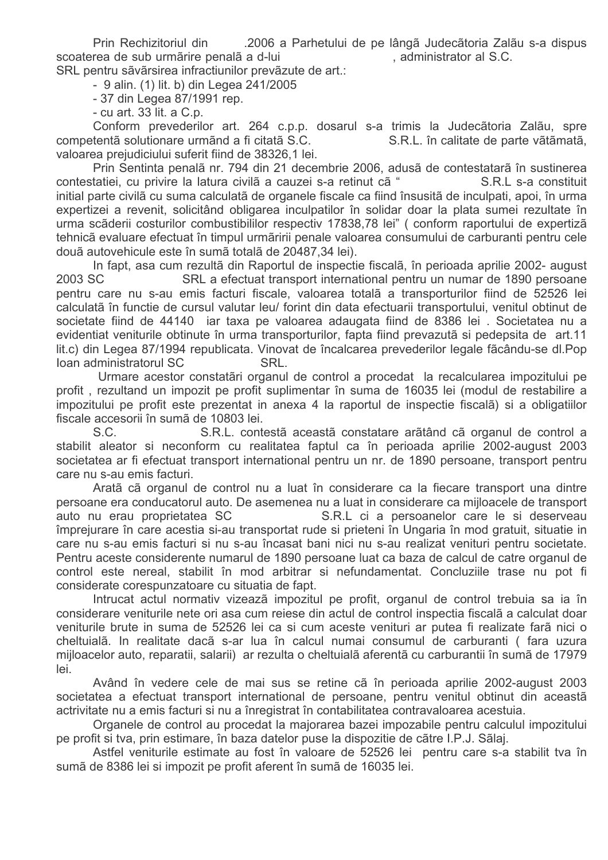Prin Rechizitoriul din 2006 a Parhetului de pe lângã Judecãtoria Zalãu s-a dispus scoaterea de sub urmãrire penalã a d-lui , administrator al S.C.

SRL pentru sãvãrsirea infractiunilor prevãzute de art.:

- 9 alin. (1) lit. b) din Legea 241/2005

- 37 din Legea 87/1991 rep.

- cu art. 33 lit. a C.p.

Conform prevederilor art. 264 c.p.p. dosarul s-a trimis la Judecãtoria Zalãu, spre competentã solutionare urmãnd a fi citatã S.C. S.R.L. în calitate de parte vãtãmatã, valoarea prejudiciului suferit fiind de 38326.1 lei.

Prin Sentinta penalã nr. 794 din 21 decembrie 2006, adusã de contestatarã în sustinerea contestatiei, cu privire la latura civilã a cauzei s-a retinut cã " R.L s-a constituit initial parte civilă cu suma calculată de organele fiscale ca fiind însusită de inculpati, apoi, în urma expertizei a revenit, solicitând obligarea inculpatilor în solidar doar la plata sumei rezultate în urma scãderii costurilor combustibililor respectiv 17838,78 lei" (conform raportului de expertizã tehnicã evaluare efectuat în timpul urmăririi penale valoarea consumului de carburanti pentru cele douã autovehicule este în sumã totalã de 20487,34 lei).

In fapt, asa cum rezultă din Raportul de inspectie fiscală, în perioada aprilie 2002- august 2003 SC SRL a efectuat transport international pentru un numar de 1890 persoane pentru care nu s-au emis facturi fiscale, valoarea totalã a transporturilor fiind de 52526 lei calculată în functie de cursul valutar leu/ forint din data efectuarii transportului, venitul obtinut de societate fiind de 44140 iar taxa pe valoarea adaugata fiind de 8386 lei . Societatea nu a evidentiat veniturile obtinute în urma transporturilor, fapta fiind prevazutã si pedepsita de art.11 lit.c) din Legea 87/1994 republicata. Vinovat de încalcarea prevederilor legale fãcându-se dl.Pop loan administratorul SC SRL.

Urmare acestor constatãri organul de control a procedat la recalcularea impozitului pe profit, rezultand un impozit pe profit suplimentar în suma de 16035 lei (modul de restabilire a impozitului pe profit este prezentat in anexa 4 la raportul de inspectie fiscalã) si a obligatiilor fiscale accesorii în sumã de 10803 lei.

 $S.C.$ S.R.L. contestã aceastã constatare arãtând cã organul de control a stabilit aleator si neconform cu realitatea faptul ca în perioada aprilie 2002-august 2003 societatea ar fi efectuat transport international pentru un nr. de 1890 persoane, transport pentru care nu s-au emis facturi.

Aratã cã organul de control nu a luat în considerare ca la fiecare transport una dintre persoane era conducatorul auto. De asemenea nu a luat in considerare ca mijloacele de transport auto nu erau proprietatea SC R.L ci a persoanelor care le si deserveau împrejurare în care acestia si-au transportat rude si prieteni în Ungaria în mod gratuit, situatie in care nu s-au emis facturi si nu s-au încasat bani nici nu s-au realizat venituri pentru societate. Pentru aceste considerente numarul de 1890 persoane luat ca baza de calcul de catre organul de control este nereal, stabilit în mod arbitrar si nefundamentat. Concluziile trase nu pot fi considerate corespunzatoare cu situatia de fapt.

Intrucat actul normativ vizeazã impozitul pe profit, organul de control trebuia sa ja în considerare veniturile nete ori asa cum reiese din actul de control inspectia fiscalã a calculat doar veniturile brute in suma de 52526 lei ca si cum aceste venituri ar putea fi realizate farã nici o cheltuialã. In realitate dacã s-ar lua în calcul numai consumul de carburanti ( fara uzura mijloacelor auto, reparatii, salarii) ar rezulta o cheltuială aferentă cu carburantii în sumă de 17979 lei.

Având în vedere cele de mai sus se retine cã în perioada aprilie 2002-august 2003 societatea a efectuat transport international de persoane, pentru venitul obtinut din aceastã actrivitate nu a emis facturi si nu a înregistrat în contabilitatea contravaloarea acestuia.

Organele de control au procedat la majorarea bazei impozabile pentru calculul impozitului pe profit si tva, prin estimare, în baza datelor puse la dispozitie de cãtre I.P.J. Sãlaj.

Astfel veniturile estimate au fost în valoare de 52526 lei pentru care s-a stabilit tva în sumã de 8386 lei si impozit pe profit aferent în sumã de 16035 lei.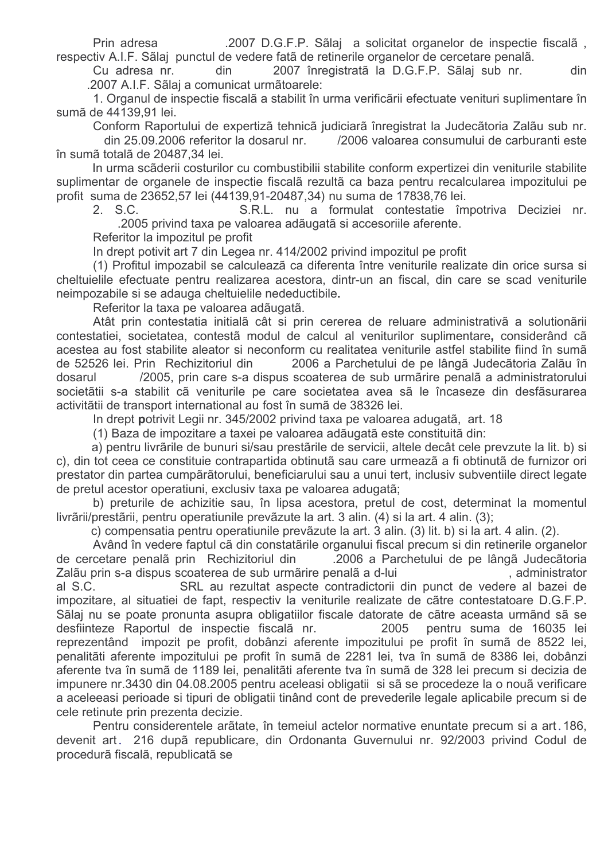Prin adresa . 2007 D.G.F.P. Sãlaj a solicitat organelor de inspectie fiscalã. respectiv A.I.F. Sãlaj punctul de vedere fatã de retinerile organelor de cercetare penalã.

Cu adresa nr. din 2007 înregistratã la D.G.F.P. Sãlaj sub nr. din .2007 A.I.F. Sãlaj a comunicat urmãtoarele:

1. Organul de inspectie fiscalã a stabilit în urma verificării efectuate venituri suplimentare în sumã de 44139,91 lei.

Conform Raportului de expertizã tehnicã judiciarã înregistrat la Judecãtoria Zalãu sub nr.

din 25.09.2006 referitor la dosarul nr. /2006 valoarea consumului de carburanti este în sumã totalã de 20487.34 lei.

In urma scãderii costurilor cu combustibilii stabilite conform expertizei din veniturile stabilite suplimentar de organele de inspectie fiscala rezulta ca baza pentru recalcularea impozitului pe profit suma de 23652,57 lei (44139,91-20487,34) nu suma de 17838,76 lei.

2. S.C. S.R.L. nu a formulat contestatie împotriva Deciziei nr. .2005 privind taxa pe valoarea adãugatã si accesoriile aferente.

Referitor la impozitul pe profit

In drept potivit art 7 din Legea nr. 414/2002 privind impozitul pe profit

(1) Profitul impozabil se calculează ca diferenta între veniturile realizate din orice sursa si cheltuielile efectuate pentru realizarea acestora, dintr-un an fiscal, din care se scad veniturile neimpozabile si se adauga cheltuielile nedeductibile.

Referitor la taxa pe valoarea adãugatã.

Atât prin contestatia initială cât și prin cererea de reluare administrativă a solutionării contestatiei, societatea, contestã modul de calcul al veniturilor suplimentare, considerând cã acestea au fost stabilite aleator si neconform cu realitatea veniturile astfel stabilite fiind în sumã de 52526 lei. Prin Rechizitoriul din 2006 a Parchetului de pe lângã Judecãtoria Zalãu în dosarul /2005, prin care s-a dispus scoaterea de sub urmărire penală a administratorului societãtii s-a stabilit cã veniturile pe care societatea avea sã le încaseze din desfãsurarea activitãtii de transport international au fost în sumã de 38326 lei.

In drept potrivit Legii nr. 345/2002 privind taxa pe valoarea adugatã, art. 18

(1) Baza de impozitare a taxei pe valoarea adãugatã este constituitã din:

a) pentru livrãrile de bunuri si/sau prestãrile de servicii, altele decât cele prevzute la lit. b) si c), din tot ceea ce constituie contrapartida obtinutã sau care urmeazã a fi obtinutã de furnizor ori prestator din partea cumpărătorului, beneficiarului sau a unui tert, inclusiv subventiile direct legate de pretul acestor operatiuni, exclusiv taxa pe valoarea adugatã;

b) preturile de achizitie sau, în lipsa acestora, pretul de cost, determinat la momentul livrãrii/prestãrii, pentru operatiunile prevãzute la art. 3 alin. (4) si la art. 4 alin. (3);

c) compensatia pentru operatiunile prevãzute la art. 3 alin. (3) lit. b) si la art. 4 alin. (2).

Având în vedere faptul cã din constatările organului fiscal precum si din retinerile organelor de cercetare penala prin Rechizitoriul din 2006 a Parchetului de pe lângã Judecãtoria Zalãu prin s-a dispus scoaterea de sub urmãrire penalã a d-lui entra entra extra administrator al S.C. SRL au rezultat aspecte contradictorii din punct de vedere al bazei de impozitare, al situatiei de fapt, respectiv la veniturile realizate de cãtre contestatoare D.G.F.P. Sãlaj nu se poate pronunta asupra obligatiilor fiscale datorate de cãtre aceasta urmãnd sã se desfiinteze Raportul de inspectie fiscala nr. 2005 pentru suma de 16035 lei reprezentând impozit pe profit, dobânzi aferente impozitului pe profit în sumă de 8522 lei. penalități aferente impozitului pe profit în sumă de 2281 lei, tva în sumă de 8386 lei, dobânzi aferente tva în sumã de 1189 lei, penalitãti aferente tva în sumã de 328 lei precum si decizia de impunere nr.3430 din 04.08.2005 pentru aceleasi obligatii si sã se procedeze la o nouã verificare a aceleeasi perioade si tipuri de obligatii tinând cont de prevederile legale aplicabile precum si de cele retinute prin prezenta decizie.

Pentru considerentele arãtate, în temeiul actelor normative enuntate precum si a art. 186. devenit art. 216 dupã republicare, din Ordonanta Guvernului nr. 92/2003 privind Codul de procedură fiscală, republicată se